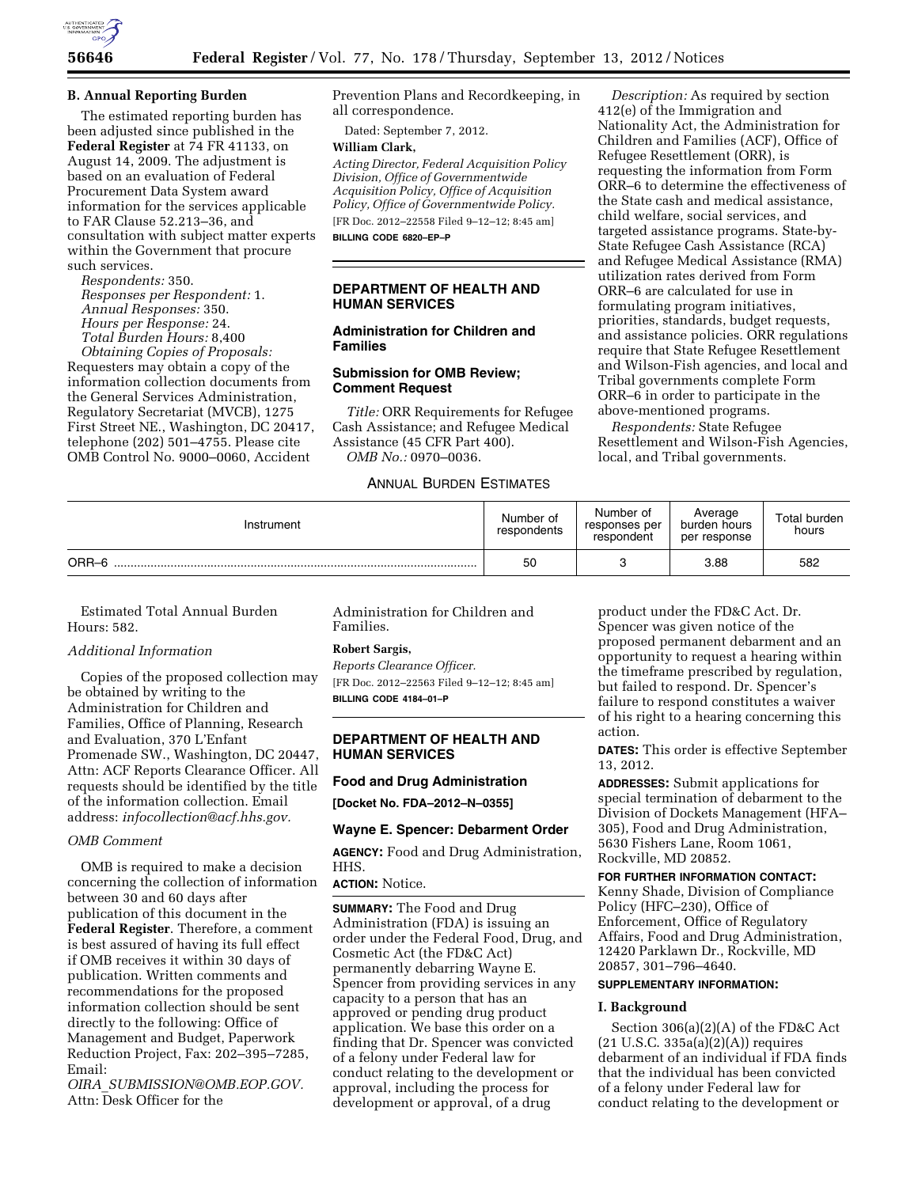

# **B. Annual Reporting Burden**

The estimated reporting burden has been adjusted since published in the **Federal Register** at 74 FR 41133, on August 14, 2009. The adjustment is based on an evaluation of Federal Procurement Data System award information for the services applicable to FAR Clause 52.213–36, and consultation with subject matter experts within the Government that procure such services.

*Respondents:* 350. *Responses per Respondent:* 1. *Annual Responses:* 350. *Hours per Response:* 24. *Total Burden Hours:* 8,400 *Obtaining Copies of Proposals:* 

Requesters may obtain a copy of the information collection documents from the General Services Administration, Regulatory Secretariat (MVCB), 1275 First Street NE., Washington, DC 20417, telephone (202) 501–4755. Please cite OMB Control No. 9000–0060, Accident

Prevention Plans and Recordkeeping, in all correspondence.

Dated: September 7, 2012.

# **William Clark,**

*Acting Director, Federal Acquisition Policy Division, Office of Governmentwide Acquisition Policy, Office of Acquisition Policy, Office of Governmentwide Policy.*  [FR Doc. 2012–22558 Filed 9–12–12; 8:45 am]

**BILLING CODE 6820–EP–P** 

# **DEPARTMENT OF HEALTH AND HUMAN SERVICES**

# **Administration for Children and Families**

# **Submission for OMB Review; Comment Request**

*Title:* ORR Requirements for Refugee Cash Assistance; and Refugee Medical Assistance (45 CFR Part 400). *OMB No.:* 0970–0036.

## ANNUAL BURDEN ESTIMATES

*Description:* As required by section 412(e) of the Immigration and Nationality Act, the Administration for Children and Families (ACF), Office of Refugee Resettlement (ORR), is requesting the information from Form ORR–6 to determine the effectiveness of the State cash and medical assistance, child welfare, social services, and targeted assistance programs. State-by-State Refugee Cash Assistance (RCA) and Refugee Medical Assistance (RMA) utilization rates derived from Form ORR–6 are calculated for use in formulating program initiatives, priorities, standards, budget requests, and assistance policies. ORR regulations require that State Refugee Resettlement and Wilson-Fish agencies, and local and Tribal governments complete Form ORR–6 in order to participate in the above-mentioned programs.

*Respondents:* State Refugee Resettlement and Wilson-Fish Agencies, local, and Tribal governments.

| Instrument | Number of<br>respondents | Number of<br>responses per<br>respondent | Average<br>burden hours<br>per response | Total burden<br>hours |
|------------|--------------------------|------------------------------------------|-----------------------------------------|-----------------------|
| ORR-6      | 50                       |                                          | 3.88                                    | 582                   |

Estimated Total Annual Burden Hours: 582.

## *Additional Information*

Copies of the proposed collection may be obtained by writing to the Administration for Children and Families, Office of Planning, Research and Evaluation, 370 L'Enfant Promenade SW., Washington, DC 20447, Attn: ACF Reports Clearance Officer. All requests should be identified by the title of the information collection. Email address: *[infocollection@acf.hhs.gov.](mailto:infocollection@acf.hhs.gov)* 

## *OMB Comment*

OMB is required to make a decision concerning the collection of information between 30 and 60 days after publication of this document in the **Federal Register**. Therefore, a comment is best assured of having its full effect if OMB receives it within 30 days of publication. Written comments and recommendations for the proposed information collection should be sent directly to the following: Office of Management and Budget, Paperwork Reduction Project, Fax: 202–395–7285, Email:

*OIRA*\_*[SUBMISSION@OMB.EOP.GOV.](mailto:OIRA_SUBMISSION@OMB.EOP.GOV)*  Attn: Desk Officer for the

Administration for Children and Families.

# **Robert Sargis,**

*Reports Clearance Officer.*  [FR Doc. 2012–22563 Filed 9–12–12; 8:45 am] **BILLING CODE 4184–01–P** 

# **DEPARTMENT OF HEALTH AND HUMAN SERVICES**

### **Food and Drug Administration**

**[Docket No. FDA–2012–N–0355]** 

#### **Wayne E. Spencer: Debarment Order**

**AGENCY:** Food and Drug Administration, HHS.

# **ACTION:** Notice.

**SUMMARY:** The Food and Drug Administration (FDA) is issuing an order under the Federal Food, Drug, and Cosmetic Act (the FD&C Act) permanently debarring Wayne E. Spencer from providing services in any capacity to a person that has an approved or pending drug product application. We base this order on a finding that Dr. Spencer was convicted of a felony under Federal law for conduct relating to the development or approval, including the process for development or approval, of a drug

product under the FD&C Act. Dr. Spencer was given notice of the proposed permanent debarment and an opportunity to request a hearing within the timeframe prescribed by regulation, but failed to respond. Dr. Spencer's failure to respond constitutes a waiver of his right to a hearing concerning this action.

**DATES:** This order is effective September 13, 2012.

**ADDRESSES:** Submit applications for special termination of debarment to the Division of Dockets Management (HFA– 305), Food and Drug Administration, 5630 Fishers Lane, Room 1061, Rockville, MD 20852.

### **FOR FURTHER INFORMATION CONTACT:**

Kenny Shade, Division of Compliance Policy (HFC–230), Office of Enforcement, Office of Regulatory Affairs, Food and Drug Administration, 12420 Parklawn Dr., Rockville, MD 20857, 301–796–4640.

# **SUPPLEMENTARY INFORMATION:**

### **I. Background**

Section 306(a)(2)(A) of the FD&C Act  $(21 \text{ U.S.C. } 335a(a)(2)(A))$  requires debarment of an individual if FDA finds that the individual has been convicted of a felony under Federal law for conduct relating to the development or